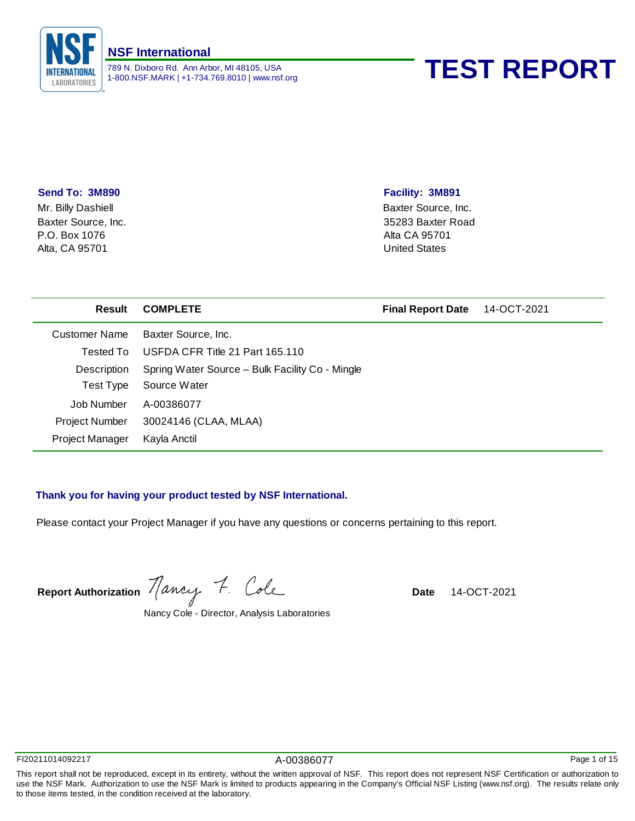

# 1-800.NSF.MARK | +1-734.769.8010 | www.nsf.org **TEST REPORT**

### **Send To: 3M890**

P.O. Box 1076 Alta, CA 95701 Mr. Billy Dashiell Baxter Source, Inc.

# **Facility: 3M891**

Baxter Source, Inc. 35283 Baxter Road Alta CA 95701 United States

| Result                 | <b>COMPLETE</b>                                 | <b>Final Report Date</b> | 14-OCT-2021 |
|------------------------|-------------------------------------------------|--------------------------|-------------|
| Customer Name          | Baxter Source, Inc.                             |                          |             |
| Tested To              | USFDA CFR Title 21 Part 165.110                 |                          |             |
| Description            | Spring Water Source - Bulk Facility Co - Mingle |                          |             |
| Test Type              | Source Water                                    |                          |             |
| Job Number             | A-00386077                                      |                          |             |
| <b>Project Number</b>  | 30024146 (CLAA, MLAA)                           |                          |             |
| <b>Project Manager</b> | Kayla Anctil                                    |                          |             |

# **Thank you for having your product tested by NSF International.**

Please contact your Project Manager if you have any questions or concerns pertaining to this report.

Report Authorization *Mancy* 7. Cole **Date** 14-OCT-2021

Nancy Cole - Director, Analysis Laboratories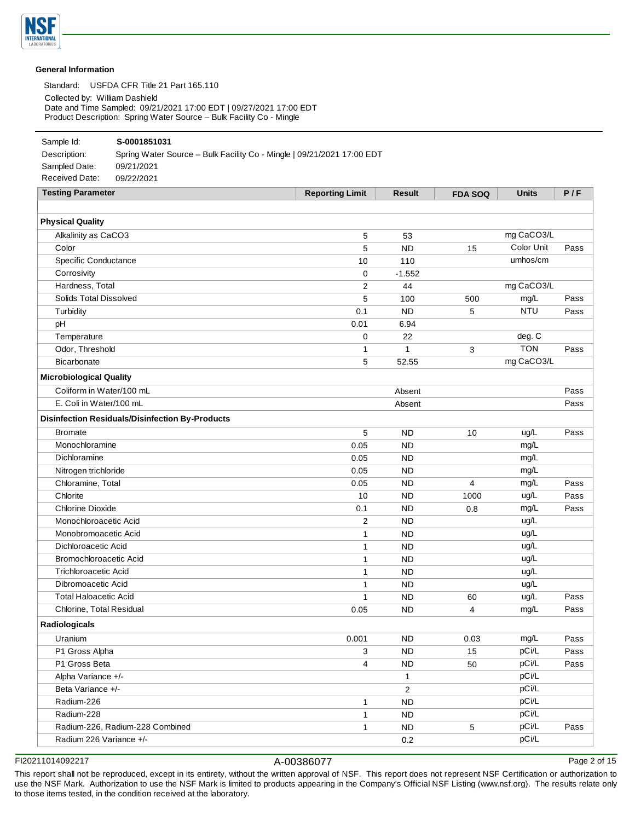

#### **General Information**

Standard: USFDA CFR Title 21 Part 165.110

Collected by: William Dashield

Date and Time Sampled: 09/21/2021 17:00 EDT | 09/27/2021 17:00 EDT Product Description: Spring Water Source – Bulk Facility Co - Mingle

### Sample Id: **S-0001851031**

Description: Spring Water Source – Bulk Facility Co - Mingle | 09/21/2021 17:00 EDT Sampled Date: 09/21/2021 Received Date: 09/22/2021

| <b>Testing Parameter</b>                               | <b>Reporting Limit</b> | <b>Result</b> | <b>FDA SOQ</b> | <b>Units</b> | P/F  |
|--------------------------------------------------------|------------------------|---------------|----------------|--------------|------|
| <b>Physical Quality</b>                                |                        |               |                |              |      |
| Alkalinity as CaCO3                                    | 5                      | 53            |                | mg CaCO3/L   |      |
| Color                                                  | 5                      | <b>ND</b>     | 15             | Color Unit   | Pass |
| Specific Conductance                                   | 10                     | 110           |                | umhos/cm     |      |
| Corrosivity                                            | 0                      | $-1.552$      |                |              |      |
| Hardness, Total                                        | 2                      | 44            |                | mg CaCO3/L   |      |
| Solids Total Dissolved                                 | 5                      | 100           | 500            | mg/L         | Pass |
| Turbidity                                              | 0.1                    | <b>ND</b>     | 5              | <b>NTU</b>   | Pass |
| pH                                                     | 0.01                   | 6.94          |                |              |      |
| Temperature                                            | 0                      | 22            |                | deg. C       |      |
| Odor, Threshold                                        | 1                      | 1             | 3              | <b>TON</b>   | Pass |
| <b>Bicarbonate</b>                                     | 5                      | 52.55         |                | mg CaCO3/L   |      |
| <b>Microbiological Quality</b>                         |                        |               |                |              |      |
| Coliform in Water/100 mL                               |                        | Absent        |                |              | Pass |
| E. Coli in Water/100 mL                                |                        | Absent        |                |              | Pass |
| <b>Disinfection Residuals/Disinfection By-Products</b> |                        |               |                |              |      |
| <b>Bromate</b>                                         | 5                      | <b>ND</b>     | 10             | ug/L         | Pass |
| Monochloramine                                         | 0.05                   | <b>ND</b>     |                | mg/L         |      |
| Dichloramine                                           | 0.05                   | <b>ND</b>     |                | mg/L         |      |
| Nitrogen trichloride                                   | 0.05                   | <b>ND</b>     |                | mg/L         |      |
| Chloramine, Total                                      | 0.05                   | <b>ND</b>     | 4              | mg/L         | Pass |
| Chlorite                                               | 10                     | <b>ND</b>     | 1000           | ug/L         | Pass |
| <b>Chlorine Dioxide</b>                                | 0.1                    | <b>ND</b>     | 0.8            | mg/L         | Pass |
| Monochloroacetic Acid                                  | 2                      | <b>ND</b>     |                | ug/L         |      |
| Monobromoacetic Acid                                   | 1                      | <b>ND</b>     |                | ug/L         |      |
| Dichloroacetic Acid                                    | 1                      | <b>ND</b>     |                | ug/L         |      |
| Bromochloroacetic Acid                                 | 1                      | <b>ND</b>     |                | ug/L         |      |
| <b>Trichloroacetic Acid</b>                            | 1                      | <b>ND</b>     |                | ug/L         |      |
| Dibromoacetic Acid                                     | $\mathbf{1}$           | <b>ND</b>     |                | ug/L         |      |
| <b>Total Haloacetic Acid</b>                           | $\mathbf{1}$           | <b>ND</b>     | 60             | ug/L         | Pass |
| Chlorine, Total Residual                               | 0.05                   | <b>ND</b>     | 4              | mg/L         | Pass |
| Radiologicals                                          |                        |               |                |              |      |
| Uranium                                                | 0.001                  | <b>ND</b>     | 0.03           | mg/L         | Pass |
| P1 Gross Alpha                                         | 3                      | <b>ND</b>     | 15             | pCi/L        | Pass |
| P1 Gross Beta                                          | 4                      | <b>ND</b>     | 50             | pCi/L        | Pass |
| Alpha Variance +/-                                     |                        | $\mathbf{1}$  |                | pCi/L        |      |
| Beta Variance +/-                                      |                        | 2             |                | pCi/L        |      |
| Radium-226                                             | 1                      | <b>ND</b>     |                | pCi/L        |      |
| Radium-228                                             | 1                      | <b>ND</b>     |                | pCi/L        |      |
| Radium-226, Radium-228 Combined                        | 1                      | <b>ND</b>     | 5              | pCi/L        | Pass |
| Radium 226 Variance +/-                                |                        | 0.2           |                | pCi/L        |      |

FI20211014092217 A-00386077

Page 2 of 15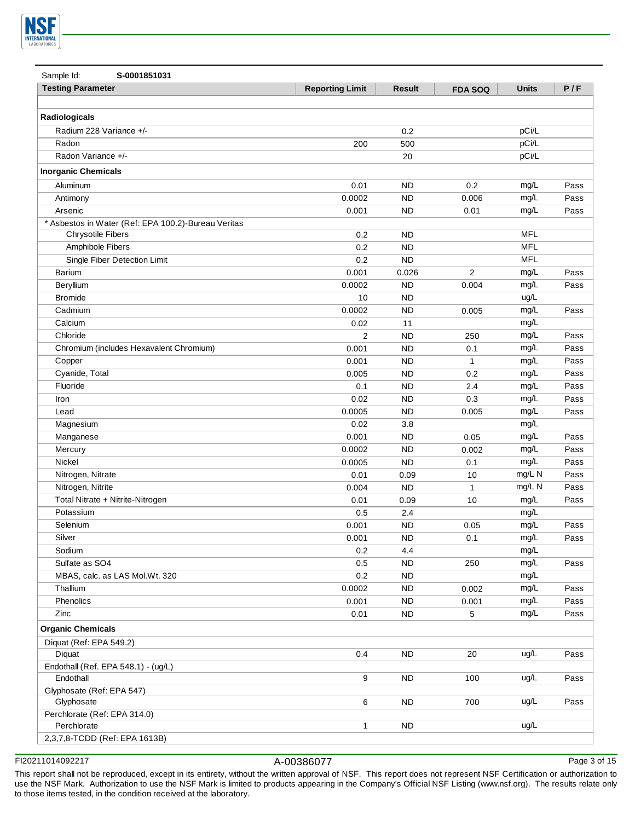

| Sample Id:<br>S-0001851031                          |                        |               |                |              |      |
|-----------------------------------------------------|------------------------|---------------|----------------|--------------|------|
| <b>Testing Parameter</b>                            | <b>Reporting Limit</b> | <b>Result</b> | <b>FDA SOQ</b> | <b>Units</b> | P/F  |
|                                                     |                        |               |                |              |      |
| Radiologicals                                       |                        |               |                |              |      |
| Radium 228 Variance +/-                             |                        | 0.2           |                | pCi/L        |      |
| Radon                                               | 200                    | 500           |                | pCi/L        |      |
| Radon Variance +/-                                  |                        | 20            |                | pCi/L        |      |
| <b>Inorganic Chemicals</b>                          |                        |               |                |              |      |
| Aluminum                                            | 0.01                   | ND            | 0.2            | mg/L         | Pass |
| Antimony                                            | 0.0002                 | ND            | 0.006          | mg/L         | Pass |
| Arsenic                                             | 0.001                  | ND            | 0.01           | mg/L         | Pass |
| * Asbestos in Water (Ref: EPA 100.2)-Bureau Veritas |                        |               |                |              |      |
| <b>Chrysotile Fibers</b>                            | 0.2                    | <b>ND</b>     |                | <b>MFL</b>   |      |
| Amphibole Fibers                                    | 0.2                    | <b>ND</b>     |                | <b>MFL</b>   |      |
| Single Fiber Detection Limit                        | 0.2                    | <b>ND</b>     |                | <b>MFL</b>   |      |
| Barium                                              | 0.001                  | 0.026         | $\overline{2}$ | mg/L         | Pass |
| Beryllium                                           | 0.0002                 | ND            | 0.004          | mg/L         | Pass |
| <b>Bromide</b>                                      | 10                     | ND            |                | ug/L         |      |
| Cadmium                                             | 0.0002                 | <b>ND</b>     | 0.005          | mg/L         | Pass |
| Calcium                                             | 0.02                   | 11            |                | mg/L         |      |
| Chloride                                            | $\overline{2}$         | <b>ND</b>     | 250            | mg/L         | Pass |
| Chromium (includes Hexavalent Chromium)             | 0.001                  | <b>ND</b>     | 0.1            | mg/L         | Pass |
| Copper                                              | 0.001                  | <b>ND</b>     | $\mathbf{1}$   | mg/L         | Pass |
| Cyanide, Total                                      | 0.005                  | <b>ND</b>     | 0.2            | mg/L         | Pass |
| Fluoride                                            | 0.1                    | <b>ND</b>     | 2.4            | mg/L         | Pass |
| Iron                                                | 0.02                   | <b>ND</b>     | 0.3            | mg/L         | Pass |
| Lead                                                | 0.0005                 | <b>ND</b>     | 0.005          | mg/L         | Pass |
| Magnesium                                           | 0.02                   | 3.8           |                | mg/L         |      |
| Manganese                                           | 0.001                  | <b>ND</b>     | 0.05           | mg/L         | Pass |
| Mercury                                             | 0.0002                 | <b>ND</b>     | 0.002          | mg/L         | Pass |
| Nickel                                              | 0.0005                 | <b>ND</b>     | 0.1            | mg/L         | Pass |
| Nitrogen, Nitrate                                   | 0.01                   | 0.09          | 10             | mg/L N       | Pass |
| Nitrogen, Nitrite                                   | 0.004                  | <b>ND</b>     | $\mathbf{1}$   | mg/L N       | Pass |
| Total Nitrate + Nitrite-Nitrogen                    | 0.01                   | 0.09          | 10             | mg/L         | Pass |
| Potassium                                           | 0.5                    | 2.4           |                | mg/L         |      |
| Selenium                                            | 0.001                  | <b>ND</b>     | 0.05           | mg/L         | Pass |
| Silver                                              | 0.001                  | <b>ND</b>     | 0.1            | mg/L         | Pass |
| Sodium                                              | 0.2                    | 4.4           |                | mg/L         |      |
| Sulfate as SO4                                      | 0.5                    | <b>ND</b>     | 250            | mg/L         | Pass |
| MBAS, calc. as LAS Mol.Wt. 320                      | 0.2                    | <b>ND</b>     |                | mg/L         |      |
| Thallium                                            | 0.0002                 | <b>ND</b>     | 0.002          | mg/L         | Pass |
| Phenolics                                           | 0.001                  | <b>ND</b>     | 0.001          | mg/L         | Pass |
| Zinc                                                | 0.01                   | <b>ND</b>     | 5              | mg/L         | Pass |
|                                                     |                        |               |                |              |      |
| <b>Organic Chemicals</b>                            |                        |               |                |              |      |
| Diquat (Ref: EPA 549.2)                             |                        |               |                |              |      |
| Diquat                                              | 0.4                    | <b>ND</b>     | 20             | uq/L         | Pass |
| Endothall (Ref. EPA 548.1) - (ug/L)                 |                        |               |                |              |      |
| Endothall                                           | 9                      | ND.           | 100            | ug/L         | Pass |
| Glyphosate (Ref: EPA 547)                           |                        |               |                |              |      |
| Glyphosate                                          | 6                      | <b>ND</b>     | 700            | ug/L         | Pass |
| Perchlorate (Ref: EPA 314.0)                        | 1                      | <b>ND</b>     |                |              |      |
| Perchlorate                                         |                        |               |                | ug/L         |      |
| 2,3,7,8-TCDD (Ref: EPA 1613B)                       |                        |               |                |              |      |

FI20211014092217 A-00386077

Page 3 of 15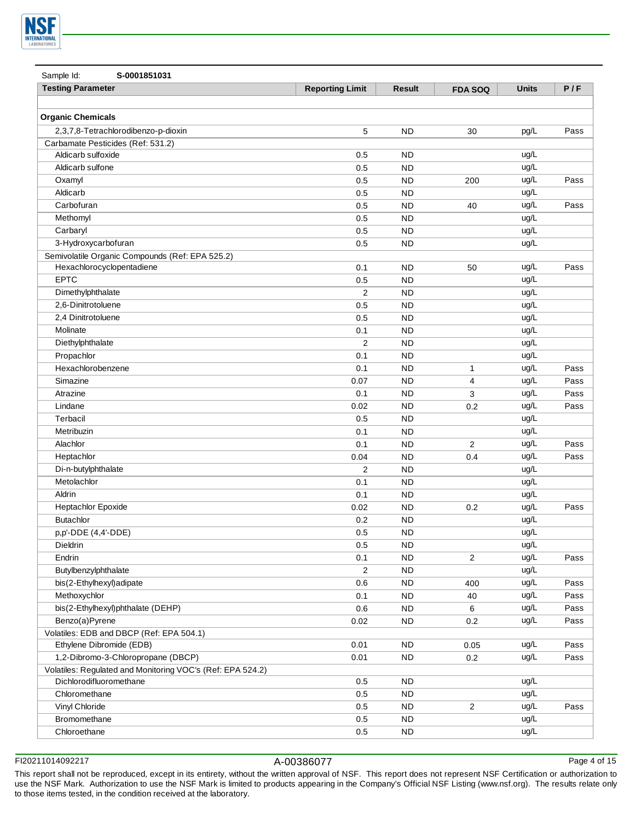

| Sample Id:<br>S-0001851031                                 |                        |               |                         |              |      |
|------------------------------------------------------------|------------------------|---------------|-------------------------|--------------|------|
| <b>Testing Parameter</b>                                   | <b>Reporting Limit</b> | <b>Result</b> | <b>FDA SOQ</b>          | <b>Units</b> | P/F  |
|                                                            |                        |               |                         |              |      |
| <b>Organic Chemicals</b>                                   |                        |               |                         |              |      |
| 2,3,7,8-Tetrachlorodibenzo-p-dioxin                        | 5                      | <b>ND</b>     | 30                      | pg/L         | Pass |
| Carbamate Pesticides (Ref: 531.2)                          |                        |               |                         |              |      |
| Aldicarb sulfoxide                                         | 0.5                    | ND            |                         | ug/L         |      |
| Aldicarb sulfone                                           | 0.5                    | <b>ND</b>     |                         | ug/L         |      |
| Oxamyl                                                     | 0.5                    | <b>ND</b>     | 200                     | ug/L         | Pass |
| Aldicarb                                                   | 0.5                    | <b>ND</b>     |                         | ug/L         |      |
| Carbofuran                                                 | 0.5                    | <b>ND</b>     | 40                      | ug/L         | Pass |
| Methomyl                                                   | 0.5                    | <b>ND</b>     |                         | ug/L         |      |
| Carbaryl                                                   | 0.5                    | <b>ND</b>     |                         | ug/L         |      |
| 3-Hydroxycarbofuran                                        | 0.5                    | <b>ND</b>     |                         | ug/L         |      |
| Semivolatile Organic Compounds (Ref: EPA 525.2)            |                        |               |                         |              |      |
| Hexachlorocyclopentadiene                                  | 0.1                    | <b>ND</b>     | 50                      | ug/L         | Pass |
| <b>EPTC</b>                                                | 0.5                    | <b>ND</b>     |                         | ug/L         |      |
| Dimethylphthalate                                          | $\overline{2}$         | <b>ND</b>     |                         | ug/L         |      |
| 2,6-Dinitrotoluene                                         | 0.5                    | <b>ND</b>     |                         | ug/L         |      |
| 2,4 Dinitrotoluene                                         | 0.5                    | <b>ND</b>     |                         | ug/L         |      |
| Molinate                                                   | 0.1                    | <b>ND</b>     |                         | ug/L         |      |
| Diethylphthalate                                           | $\overline{2}$         | <b>ND</b>     |                         | ug/L         |      |
| Propachlor                                                 | 0.1                    | <b>ND</b>     |                         | ug/L         |      |
| Hexachlorobenzene                                          | 0.1                    | <b>ND</b>     | 1                       | ug/L         | Pass |
| Simazine                                                   | 0.07                   | <b>ND</b>     | 4                       | ug/L         | Pass |
| Atrazine                                                   | 0.1                    | <b>ND</b>     | 3                       | ug/L         | Pass |
| Lindane                                                    | 0.02                   | <b>ND</b>     | 0.2                     | ug/L         | Pass |
| Terbacil                                                   | 0.5                    | <b>ND</b>     |                         | ug/L         |      |
| Metribuzin                                                 | 0.1                    | <b>ND</b>     |                         | ug/L         |      |
| Alachlor                                                   | 0.1                    | <b>ND</b>     | $\overline{2}$          | ug/L         | Pass |
| Heptachlor                                                 | 0.04                   | <b>ND</b>     | 0.4                     | ug/L         | Pass |
| Di-n-butylphthalate                                        | 2                      | <b>ND</b>     |                         | ug/L         |      |
| Metolachlor                                                | 0.1                    | <b>ND</b>     |                         | ug/L         |      |
| Aldrin                                                     | 0.1                    | <b>ND</b>     |                         | ug/L         |      |
| Heptachlor Epoxide                                         | 0.02                   | <b>ND</b>     | 0.2                     | ug/L         | Pass |
| Butachlor                                                  | 0.2                    | <b>ND</b>     |                         | ug/L         |      |
| p,p'-DDE (4,4'-DDE)                                        | 0.5                    | <b>ND</b>     |                         | ug/L         |      |
| Dieldrin                                                   | 0.5                    | <b>ND</b>     |                         | ug/L         |      |
| Endrin                                                     | 0.1                    | <b>ND</b>     | $\overline{\mathbf{c}}$ | ug/L         | Pass |
| Butylbenzylphthalate                                       | 2                      | <b>ND</b>     |                         | ug/L         |      |
| bis(2-Ethylhexyl)adipate                                   | 0.6                    | <b>ND</b>     | 400                     | ug/L         | Pass |
| Methoxychlor                                               | 0.1                    | <b>ND</b>     | 40                      | ug/L         | Pass |
| bis(2-Ethylhexyl)phthalate (DEHP)                          | 0.6                    | <b>ND</b>     | 6                       | ug/L         | Pass |
| Benzo(a)Pyrene                                             | 0.02                   | <b>ND</b>     | 0.2                     | ug/L         | Pass |
| Volatiles: EDB and DBCP (Ref: EPA 504.1)                   |                        |               |                         |              |      |
| Ethylene Dibromide (EDB)                                   | 0.01                   | <b>ND</b>     | 0.05                    | ug/L         | Pass |
| 1,2-Dibromo-3-Chloropropane (DBCP)                         | 0.01                   | <b>ND</b>     | 0.2                     | ug/L         | Pass |
| Volatiles: Regulated and Monitoring VOC's (Ref: EPA 524.2) |                        |               |                         |              |      |
| Dichlorodifluoromethane                                    | 0.5                    | <b>ND</b>     |                         | ug/L         |      |
| Chloromethane                                              | 0.5                    | <b>ND</b>     |                         | ug/L         |      |
| Vinyl Chloride                                             | 0.5                    | <b>ND</b>     | $\overline{\mathbf{c}}$ | ug/L         | Pass |
| Bromomethane                                               | $0.5\,$                | ${\sf ND}$    |                         | ug/L         |      |
| Chloroethane                                               | $0.5\,$                | ${\sf ND}$    |                         | ug/L         |      |

FI20211014092217 A-00386077

Page 4 of 15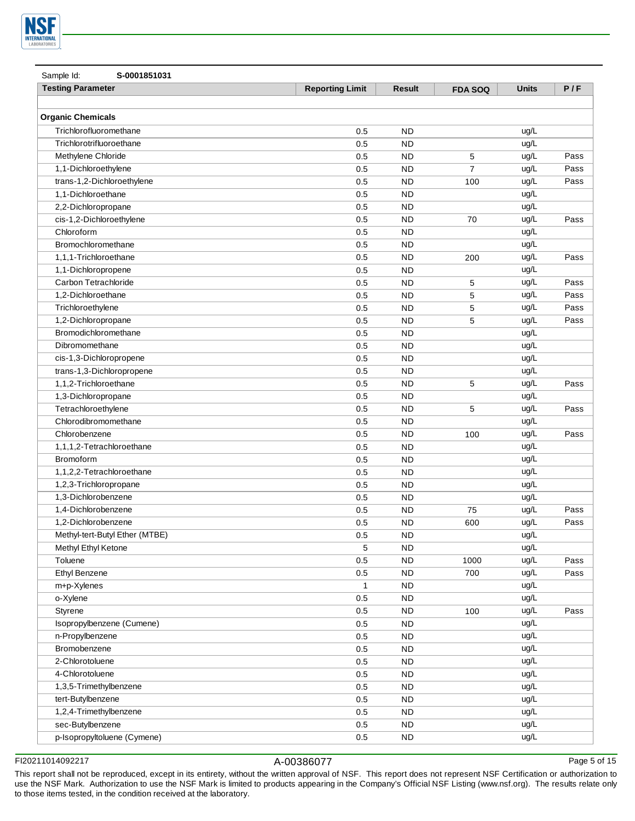

| Sample Id:<br>S-0001851031     |                        |                        |                |              |      |
|--------------------------------|------------------------|------------------------|----------------|--------------|------|
| <b>Testing Parameter</b>       | <b>Reporting Limit</b> | <b>Result</b>          | <b>FDA SOQ</b> | <b>Units</b> | P/F  |
|                                |                        |                        |                |              |      |
| <b>Organic Chemicals</b>       |                        |                        |                |              |      |
| Trichlorofluoromethane         | 0.5                    | <b>ND</b>              |                | ug/L         |      |
| Trichlorotrifluoroethane       | 0.5                    | <b>ND</b>              |                | ug/L         |      |
| Methylene Chloride             | 0.5                    | <b>ND</b>              | 5              | ug/L         | Pass |
| 1,1-Dichloroethylene           | 0.5                    | <b>ND</b>              | $\overline{7}$ | ug/L         | Pass |
| trans-1,2-Dichloroethylene     | 0.5                    | <b>ND</b>              | 100            | ug/L         | Pass |
| 1,1-Dichloroethane             | 0.5                    | <b>ND</b>              |                | ug/L         |      |
| 2,2-Dichloropropane            | 0.5                    | <b>ND</b>              |                | ug/L         |      |
| cis-1,2-Dichloroethylene       | 0.5                    | <b>ND</b>              | 70             | ug/L         | Pass |
| Chloroform                     | 0.5                    | <b>ND</b>              |                | ug/L         |      |
| Bromochloromethane             | 0.5                    | <b>ND</b>              |                | ug/L         |      |
| 1,1,1-Trichloroethane          | 0.5                    | <b>ND</b>              | 200            | ug/L         | Pass |
| 1,1-Dichloropropene            | 0.5                    | <b>ND</b>              |                | ug/L         |      |
| Carbon Tetrachloride           | 0.5                    | <b>ND</b>              | 5              | ug/L         | Pass |
| 1.2-Dichloroethane             | 0.5                    | <b>ND</b>              | 5              | ug/L         | Pass |
| Trichloroethylene              | 0.5                    | <b>ND</b>              | 5              | ug/L         | Pass |
| 1,2-Dichloropropane            | 0.5                    | <b>ND</b>              | 5              | ug/L         | Pass |
| Bromodichloromethane           | 0.5                    | <b>ND</b>              |                | ug/L         |      |
| Dibromomethane                 | 0.5                    | <b>ND</b>              |                | ug/L         |      |
| cis-1,3-Dichloropropene        | 0.5                    | <b>ND</b>              |                | ug/L         |      |
| trans-1,3-Dichloropropene      | 0.5                    | <b>ND</b>              |                | ug/L         |      |
| 1,1,2-Trichloroethane          | 0.5                    | <b>ND</b>              | 5              | ug/L         | Pass |
| 1,3-Dichloropropane            |                        | <b>ND</b>              |                | ug/L         |      |
| Tetrachloroethylene            | 0.5                    | <b>ND</b>              | 5              | ug/L         | Pass |
| Chlorodibromomethane           | 0.5<br>0.5             | <b>ND</b>              |                | ug/L         |      |
| Chlorobenzene                  | 0.5                    | <b>ND</b>              | 100            | ug/L         | Pass |
| 1,1,1,2-Tetrachloroethane      | 0.5                    | <b>ND</b>              |                | ug/L         |      |
| <b>Bromoform</b>               |                        |                        |                | ug/L         |      |
|                                | 0.5<br>0.5             | <b>ND</b><br><b>ND</b> |                | ug/L         |      |
| 1,1,2,2-Tetrachloroethane      |                        |                        |                | ug/L         |      |
| 1,2,3-Trichloropropane         | 0.5                    | <b>ND</b>              |                |              |      |
| 1,3-Dichlorobenzene            | 0.5                    | <b>ND</b>              |                | ug/L         |      |
| 1.4-Dichlorobenzene            | 0.5                    | <b>ND</b>              | 75             | ug/L         | Pass |
| 1,2-Dichlorobenzene            | 0.5                    | <b>ND</b>              | 600            | ug/L         | Pass |
| Methyl-tert-Butyl Ether (MTBE) | 0.5                    | <b>ND</b>              |                | ug/L         |      |
| Methyl Ethyl Ketone            | 5                      | <b>ND</b>              |                | ug/L         |      |
| Toluene                        | 0.5                    | <b>ND</b>              | 1000           | ug/L         | Pass |
| Ethyl Benzene                  | 0.5                    | <b>ND</b>              | 700            | ug/L         | Pass |
| m+p-Xylenes                    | $\mathbf{1}$           | <b>ND</b>              |                | ug/L         |      |
| o-Xylene                       | 0.5                    | <b>ND</b>              |                | ug/L         |      |
| Styrene                        | 0.5                    | <b>ND</b>              | 100            | ug/L         | Pass |
| Isopropylbenzene (Cumene)      | 0.5                    | <b>ND</b>              |                | ug/L         |      |
| n-Propylbenzene                | 0.5                    | <b>ND</b>              |                | ug/L         |      |
| Bromobenzene                   | 0.5                    | <b>ND</b>              |                | ug/L         |      |
| 2-Chlorotoluene                | 0.5                    | <b>ND</b>              |                | ug/L         |      |
| 4-Chlorotoluene                | 0.5                    | <b>ND</b>              |                | ug/L         |      |
| 1,3,5-Trimethylbenzene         | 0.5                    | <b>ND</b>              |                | ug/L         |      |
| tert-Butylbenzene              | 0.5                    | <b>ND</b>              |                | ug/L         |      |
| 1,2,4-Trimethylbenzene         | 0.5                    | <b>ND</b>              |                | ug/L         |      |
| sec-Butylbenzene               | 0.5                    | <b>ND</b>              |                | ug/L         |      |
| p-Isopropyltoluene (Cymene)    | $0.5\,$                | ${\sf ND}$             |                | ug/L         |      |

FI20211014092217 A-00386077

Page 5 of 15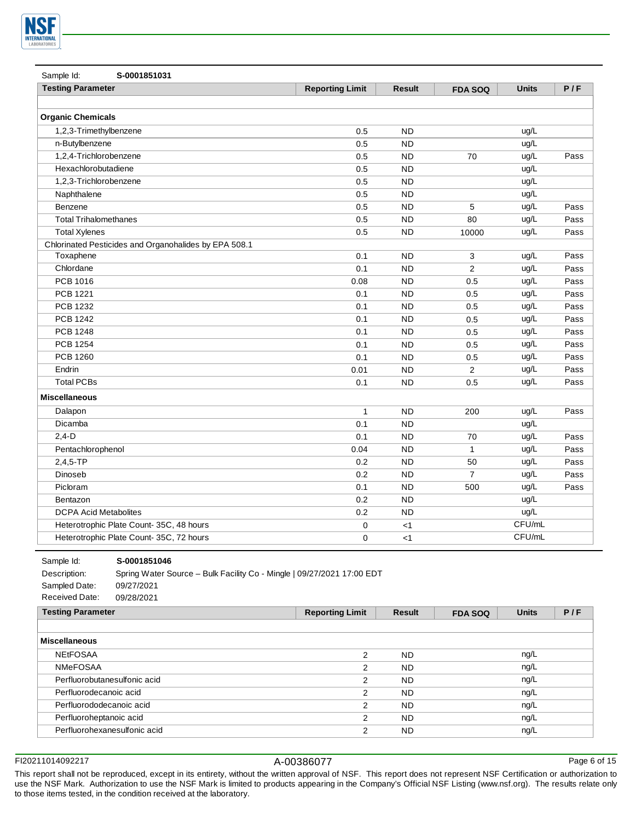

| Sample Id:<br>S-0001851031                            |                        |               |                |              |      |
|-------------------------------------------------------|------------------------|---------------|----------------|--------------|------|
| <b>Testing Parameter</b>                              | <b>Reporting Limit</b> | <b>Result</b> | <b>FDA SOQ</b> | <b>Units</b> | P/F  |
|                                                       |                        |               |                |              |      |
| <b>Organic Chemicals</b>                              |                        |               |                |              |      |
| 1,2,3-Trimethylbenzene                                | 0.5                    | <b>ND</b>     |                | ug/L         |      |
| n-Butylbenzene                                        | 0.5                    | <b>ND</b>     |                | ug/L         |      |
| 1,2,4-Trichlorobenzene                                | 0.5                    | <b>ND</b>     | 70             | ug/L         | Pass |
| Hexachlorobutadiene                                   | 0.5                    | <b>ND</b>     |                | ug/L         |      |
| 1,2,3-Trichlorobenzene                                | 0.5                    | <b>ND</b>     |                | ug/L         |      |
| Naphthalene                                           | 0.5                    | <b>ND</b>     |                | ug/L         |      |
| Benzene                                               | 0.5                    | <b>ND</b>     | 5              | ug/L         | Pass |
| <b>Total Trihalomethanes</b>                          | 0.5                    | <b>ND</b>     | 80             | ug/L         | Pass |
| <b>Total Xylenes</b>                                  | 0.5                    | <b>ND</b>     | 10000          | ug/L         | Pass |
| Chlorinated Pesticides and Organohalides by EPA 508.1 |                        |               |                |              |      |
| Toxaphene                                             | 0.1                    | <b>ND</b>     | 3              | ug/L         | Pass |
| Chlordane                                             | 0.1                    | <b>ND</b>     | 2              | ug/L         | Pass |
| PCB 1016                                              | 0.08                   | <b>ND</b>     | 0.5            | ug/L         | Pass |
| <b>PCB 1221</b>                                       | 0.1                    | <b>ND</b>     | 0.5            | ug/L         | Pass |
| PCB 1232                                              | 0.1                    | <b>ND</b>     | 0.5            | ug/L         | Pass |
| <b>PCB 1242</b>                                       | 0.1                    | <b>ND</b>     | 0.5            | ug/L         | Pass |
| <b>PCB 1248</b>                                       | 0.1                    | <b>ND</b>     | 0.5            | ug/L         | Pass |
| <b>PCB 1254</b>                                       | 0.1                    | <b>ND</b>     | 0.5            | ug/L         | Pass |
| PCB 1260                                              | 0.1                    | <b>ND</b>     | 0.5            | ug/L         | Pass |
| Endrin                                                | 0.01                   | <b>ND</b>     | 2              | ug/L         | Pass |
| <b>Total PCBs</b>                                     | 0.1                    | <b>ND</b>     | 0.5            | ug/L         | Pass |
| <b>Miscellaneous</b>                                  |                        |               |                |              |      |
| Dalapon                                               | $\mathbf{1}$           | <b>ND</b>     | 200            | ug/L         | Pass |
| Dicamba                                               | 0.1                    | <b>ND</b>     |                | ug/L         |      |
| $2,4-D$                                               | 0.1                    | <b>ND</b>     | 70             | ug/L         | Pass |
| Pentachlorophenol                                     | 0.04                   | <b>ND</b>     | $\mathbf{1}$   | ug/L         | Pass |
| $2,4,5$ -TP                                           | 0.2                    | <b>ND</b>     | 50             | ug/L         | Pass |
| Dinoseb                                               | 0.2                    | <b>ND</b>     | $\overline{7}$ | ug/L         | Pass |
| Picloram                                              | 0.1                    | <b>ND</b>     | 500            | ug/L         | Pass |
| Bentazon                                              | 0.2                    | <b>ND</b>     |                | ug/L         |      |
| <b>DCPA Acid Metabolites</b>                          | 0.2                    | <b>ND</b>     |                | ug/L         |      |
| Heterotrophic Plate Count-35C, 48 hours               | 0                      | $<$ 1         |                | CFU/mL       |      |
| Heterotrophic Plate Count-35C, 72 hours               | $\mathbf 0$            | $<$ 1         |                | CFU/mL       |      |

**S-0001851046**

Description: Spring Water Source – Bulk Facility Co - Mingle | 09/27/2021 17:00 EDT Sampled Date: 09/27/2021 Received Date: 09/28/2021

| <b>Testing Parameter</b>     | <b>Reporting Limit</b> | Result    | <b>FDA SOQ</b> | <b>Units</b> | P/F |
|------------------------------|------------------------|-----------|----------------|--------------|-----|
|                              |                        |           |                |              |     |
| <b>Miscellaneous</b>         |                        |           |                |              |     |
| <b>NEtFOSAA</b>              | 2                      | <b>ND</b> |                | ng/L         |     |
| <b>NMeFOSAA</b>              | 2                      | <b>ND</b> |                | ng/L         |     |
| Perfluorobutanesulfonic acid | 2                      | <b>ND</b> |                | ng/L         |     |
| Perfluorodecanoic acid       | 2                      | <b>ND</b> |                | ng/L         |     |
| Perfluorododecanoic acid     | 2                      | <b>ND</b> |                | ng/L         |     |
| Perfluoroheptanoic acid      | 2                      | <b>ND</b> |                | ng/L         |     |
| Perfluorohexanesulfonic acid | 2                      | <b>ND</b> |                | ng/L         |     |

FI20211014092217 A-00386077

Sample Id:

Page 6 of 15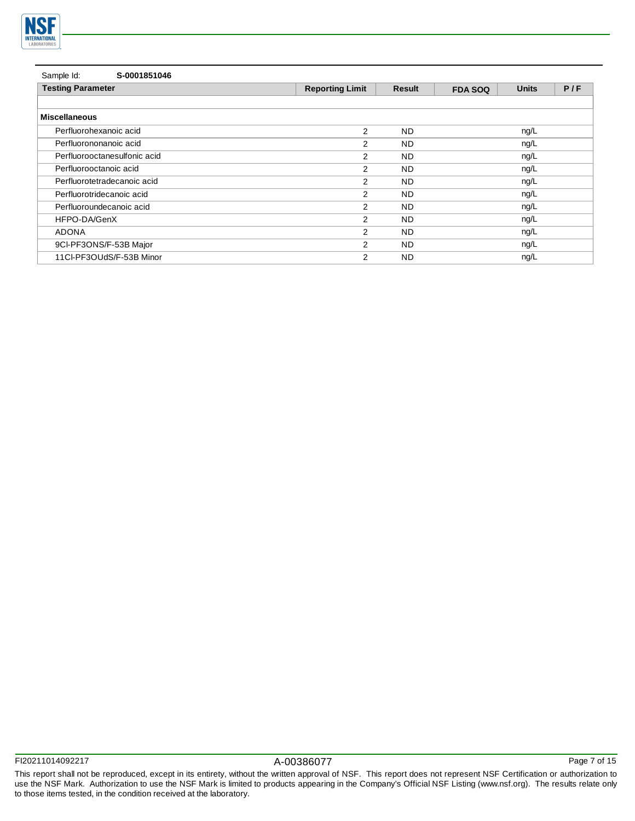

| Sample Id:<br>S-0001851046   |                        |           |                |              |     |
|------------------------------|------------------------|-----------|----------------|--------------|-----|
| <b>Testing Parameter</b>     | <b>Reporting Limit</b> | Result    | <b>FDA SOQ</b> | <b>Units</b> | P/F |
|                              |                        |           |                |              |     |
| <b>Miscellaneous</b>         |                        |           |                |              |     |
| Perfluorohexanoic acid       | 2                      | ND.       |                | ng/L         |     |
| Perfluorononanoic acid       | $\overline{2}$         | <b>ND</b> |                | ng/L         |     |
| Perfluorooctanesulfonic acid | $\overline{2}$         | ND.       |                | ng/L         |     |
| Perfluorooctanoic acid       | 2                      | ND.       |                | ng/L         |     |
| Perfluorotetradecanoic acid  | $\overline{2}$         | ND.       |                | ng/L         |     |
| Perfluorotridecanoic acid    | $\overline{2}$         | ND.       |                | nq/L         |     |
| Perfluoroundecanoic acid     | 2                      | <b>ND</b> |                | ng/L         |     |
| HFPO-DA/GenX                 | 2                      | <b>ND</b> |                | ng/L         |     |
| <b>ADONA</b>                 | 2                      | <b>ND</b> |                | ng/L         |     |
| 9CI-PF3ONS/F-53B Major       | 2                      | <b>ND</b> |                | ng/L         |     |
| 11Cl-PF3OUdS/F-53B Minor     | 2                      | ND.       |                | ng/L         |     |

Page 7 of 15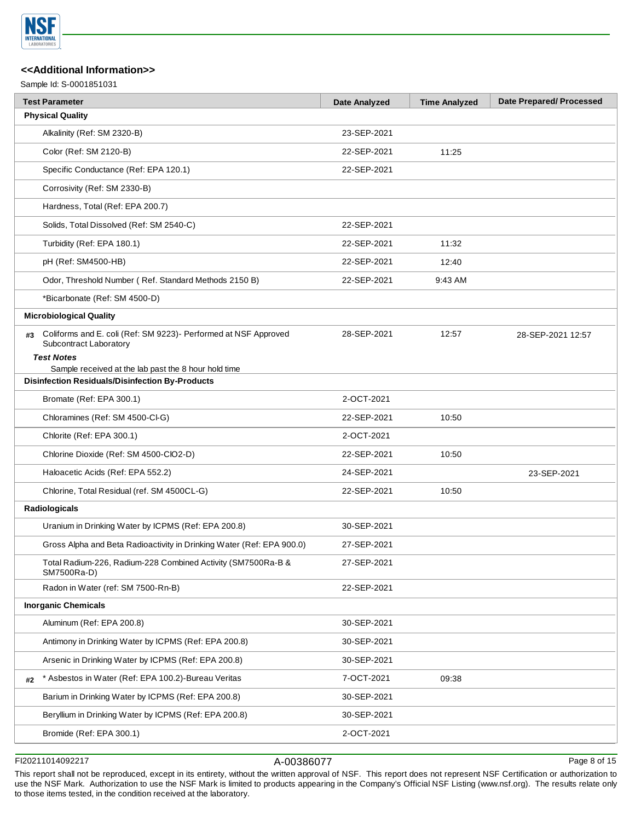

Sample Id: S-0001851031

|    | <b>Test Parameter</b>                                                                                          | <b>Date Analyzed</b> | <b>Time Analyzed</b> | <b>Date Prepared/Processed</b> |
|----|----------------------------------------------------------------------------------------------------------------|----------------------|----------------------|--------------------------------|
|    | <b>Physical Quality</b>                                                                                        |                      |                      |                                |
|    | Alkalinity (Ref: SM 2320-B)                                                                                    | 23-SEP-2021          |                      |                                |
|    | Color (Ref: SM 2120-B)                                                                                         | 22-SEP-2021          | 11:25                |                                |
|    | Specific Conductance (Ref: EPA 120.1)                                                                          | 22-SEP-2021          |                      |                                |
|    | Corrosivity (Ref: SM 2330-B)                                                                                   |                      |                      |                                |
|    | Hardness, Total (Ref: EPA 200.7)                                                                               |                      |                      |                                |
|    | Solids, Total Dissolved (Ref: SM 2540-C)                                                                       | 22-SEP-2021          |                      |                                |
|    | Turbidity (Ref: EPA 180.1)                                                                                     | 22-SEP-2021          | 11:32                |                                |
|    | pH (Ref: SM4500-HB)                                                                                            | 22-SEP-2021          | 12:40                |                                |
|    | Odor, Threshold Number (Ref. Standard Methods 2150 B)                                                          | 22-SEP-2021          | 9:43 AM              |                                |
|    | *Bicarbonate (Ref: SM 4500-D)                                                                                  |                      |                      |                                |
|    | <b>Microbiological Quality</b>                                                                                 |                      |                      |                                |
| #3 | Coliforms and E. coli (Ref: SM 9223)- Performed at NSF Approved<br>Subcontract Laboratory<br><b>Test Notes</b> | 28-SEP-2021          | 12:57                | 28-SEP-2021 12:57              |
|    | Sample received at the lab past the 8 hour hold time<br><b>Disinfection Residuals/Disinfection By-Products</b> |                      |                      |                                |
|    |                                                                                                                |                      |                      |                                |
|    | Bromate (Ref: EPA 300.1)                                                                                       | 2-OCT-2021           |                      |                                |
|    | Chloramines (Ref: SM 4500-Cl-G)                                                                                | 22-SEP-2021          | 10:50                |                                |
|    | Chlorite (Ref: EPA 300.1)                                                                                      | 2-OCT-2021           |                      |                                |
|    | Chlorine Dioxide (Ref: SM 4500-ClO2-D)                                                                         | 22-SEP-2021          | 10:50                |                                |
|    | Haloacetic Acids (Ref: EPA 552.2)                                                                              | 24-SEP-2021          |                      | 23-SEP-2021                    |
|    | Chlorine, Total Residual (ref. SM 4500CL-G)                                                                    | 22-SEP-2021          | 10:50                |                                |
|    | Radiologicals                                                                                                  |                      |                      |                                |
|    | Uranium in Drinking Water by ICPMS (Ref: EPA 200.8)                                                            | 30-SEP-2021          |                      |                                |
|    | Gross Alpha and Beta Radioactivity in Drinking Water (Ref: EPA 900.0)                                          | 27-SEP-2021          |                      |                                |
|    | Total Radium-226, Radium-228 Combined Activity (SM7500Ra-B &<br>SM7500Ra-D)                                    | 27-SEP-2021          |                      |                                |
|    | Radon in Water (ref: SM 7500-Rn-B)                                                                             | 22-SEP-2021          |                      |                                |
|    | <b>Inorganic Chemicals</b>                                                                                     |                      |                      |                                |
|    | Aluminum (Ref: EPA 200.8)                                                                                      | 30-SEP-2021          |                      |                                |
|    | Antimony in Drinking Water by ICPMS (Ref: EPA 200.8)                                                           | 30-SEP-2021          |                      |                                |
|    | Arsenic in Drinking Water by ICPMS (Ref: EPA 200.8)                                                            | 30-SEP-2021          |                      |                                |
| #2 | * Asbestos in Water (Ref: EPA 100.2)-Bureau Veritas                                                            | 7-OCT-2021           | 09:38                |                                |
|    | Barium in Drinking Water by ICPMS (Ref: EPA 200.8)                                                             | 30-SEP-2021          |                      |                                |
|    | Beryllium in Drinking Water by ICPMS (Ref: EPA 200.8)                                                          | 30-SEP-2021          |                      |                                |
|    | Bromide (Ref: EPA 300.1)                                                                                       | 2-OCT-2021           |                      |                                |
|    |                                                                                                                |                      |                      |                                |

FI20211014092217 A-00386077

Page 8 of 15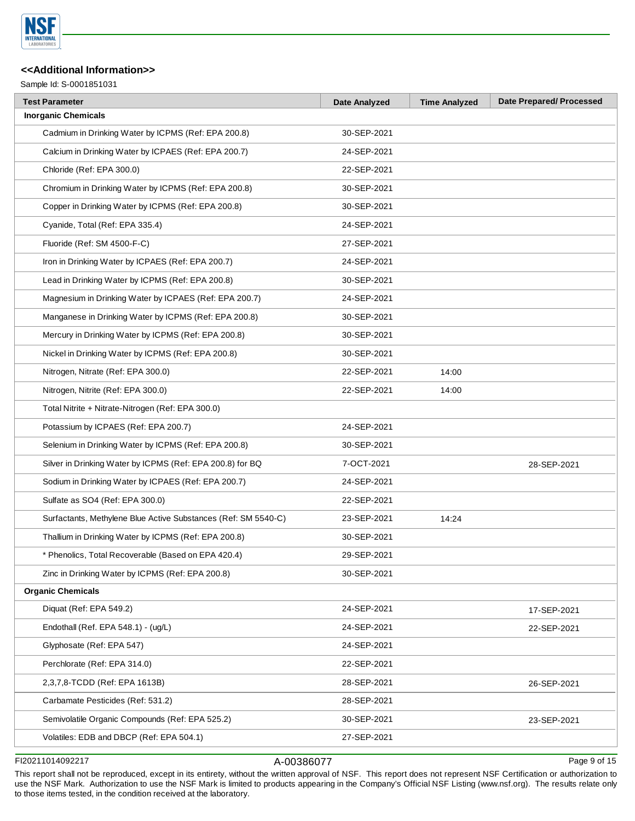

Sample Id: S-0001851031

| <b>Test Parameter</b>                                          | <b>Date Analyzed</b> | <b>Time Analyzed</b> | <b>Date Prepared/Processed</b> |
|----------------------------------------------------------------|----------------------|----------------------|--------------------------------|
| <b>Inorganic Chemicals</b>                                     |                      |                      |                                |
| Cadmium in Drinking Water by ICPMS (Ref: EPA 200.8)            | 30-SEP-2021          |                      |                                |
| Calcium in Drinking Water by ICPAES (Ref: EPA 200.7)           | 24-SEP-2021          |                      |                                |
| Chloride (Ref: EPA 300.0)                                      | 22-SEP-2021          |                      |                                |
| Chromium in Drinking Water by ICPMS (Ref: EPA 200.8)           | 30-SEP-2021          |                      |                                |
| Copper in Drinking Water by ICPMS (Ref: EPA 200.8)             | 30-SEP-2021          |                      |                                |
| Cyanide, Total (Ref: EPA 335.4)                                | 24-SEP-2021          |                      |                                |
| Fluoride (Ref: SM 4500-F-C)                                    | 27-SEP-2021          |                      |                                |
| Iron in Drinking Water by ICPAES (Ref: EPA 200.7)              | 24-SEP-2021          |                      |                                |
| Lead in Drinking Water by ICPMS (Ref: EPA 200.8)               | 30-SEP-2021          |                      |                                |
| Magnesium in Drinking Water by ICPAES (Ref: EPA 200.7)         | 24-SEP-2021          |                      |                                |
| Manganese in Drinking Water by ICPMS (Ref: EPA 200.8)          | 30-SEP-2021          |                      |                                |
| Mercury in Drinking Water by ICPMS (Ref: EPA 200.8)            | 30-SEP-2021          |                      |                                |
| Nickel in Drinking Water by ICPMS (Ref: EPA 200.8)             | 30-SEP-2021          |                      |                                |
| Nitrogen, Nitrate (Ref: EPA 300.0)                             | 22-SEP-2021          | 14:00                |                                |
| Nitrogen, Nitrite (Ref: EPA 300.0)                             | 22-SEP-2021          | 14:00                |                                |
| Total Nitrite + Nitrate-Nitrogen (Ref: EPA 300.0)              |                      |                      |                                |
| Potassium by ICPAES (Ref: EPA 200.7)                           | 24-SEP-2021          |                      |                                |
| Selenium in Drinking Water by ICPMS (Ref: EPA 200.8)           | 30-SEP-2021          |                      |                                |
| Silver in Drinking Water by ICPMS (Ref: EPA 200.8) for BQ      | 7-OCT-2021           |                      | 28-SEP-2021                    |
| Sodium in Drinking Water by ICPAES (Ref: EPA 200.7)            | 24-SEP-2021          |                      |                                |
| Sulfate as SO4 (Ref: EPA 300.0)                                | 22-SEP-2021          |                      |                                |
| Surfactants, Methylene Blue Active Substances (Ref: SM 5540-C) | 23-SEP-2021          | 14:24                |                                |
| Thallium in Drinking Water by ICPMS (Ref: EPA 200.8)           | 30-SEP-2021          |                      |                                |
| * Phenolics, Total Recoverable (Based on EPA 420.4)            | 29-SEP-2021          |                      |                                |
| Zinc in Drinking Water by ICPMS (Ref: EPA 200.8)               | 30-SEP-2021          |                      |                                |
| <b>Organic Chemicals</b>                                       |                      |                      |                                |
| Diquat (Ref: EPA 549.2)                                        | 24-SEP-2021          |                      | 17-SEP-2021                    |
| Endothall (Ref. EPA 548.1) - (ug/L)                            | 24-SEP-2021          |                      | 22-SEP-2021                    |
| Glyphosate (Ref: EPA 547)                                      | 24-SEP-2021          |                      |                                |
| Perchlorate (Ref: EPA 314.0)                                   | 22-SEP-2021          |                      |                                |
| 2,3,7,8-TCDD (Ref: EPA 1613B)                                  | 28-SEP-2021          |                      | 26-SEP-2021                    |
| Carbamate Pesticides (Ref: 531.2)                              | 28-SEP-2021          |                      |                                |
| Semivolatile Organic Compounds (Ref: EPA 525.2)                | 30-SEP-2021          |                      | 23-SEP-2021                    |
| Volatiles: EDB and DBCP (Ref: EPA 504.1)                       | 27-SEP-2021          |                      |                                |
|                                                                |                      |                      |                                |

# FI20211014092217 A-00386077

Page 9 of 15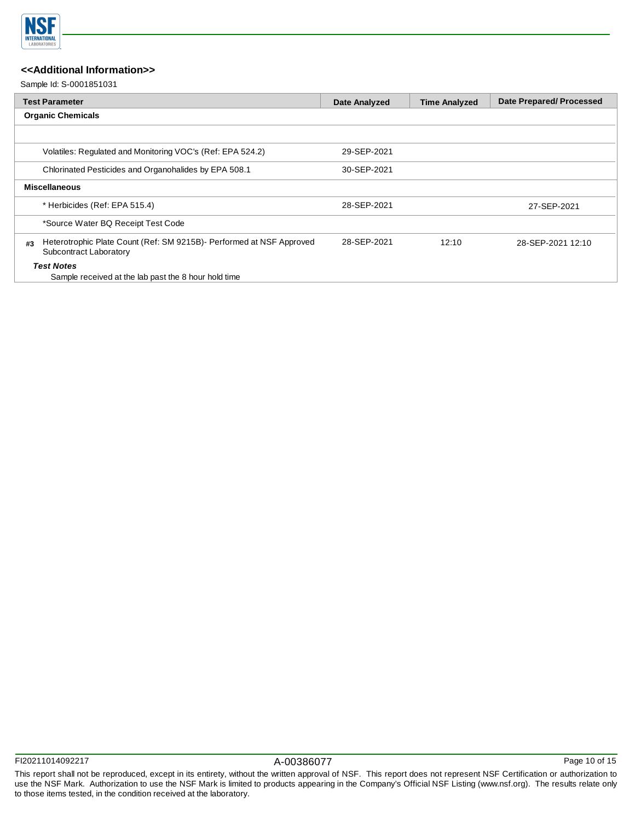

Sample Id: S-0001851031

|    | <b>Test Parameter</b>                                                                          | <b>Date Analyzed</b> | <b>Time Analyzed</b> | <b>Date Prepared/Processed</b> |
|----|------------------------------------------------------------------------------------------------|----------------------|----------------------|--------------------------------|
|    | <b>Organic Chemicals</b>                                                                       |                      |                      |                                |
|    |                                                                                                |                      |                      |                                |
|    | Volatiles: Regulated and Monitoring VOC's (Ref: EPA 524.2)                                     | 29-SEP-2021          |                      |                                |
|    | Chlorinated Pesticides and Organohalides by EPA 508.1                                          | 30-SEP-2021          |                      |                                |
|    | <b>Miscellaneous</b>                                                                           |                      |                      |                                |
|    | * Herbicides (Ref: EPA 515.4)                                                                  | 28-SEP-2021          |                      | 27-SEP-2021                    |
|    | *Source Water BQ Receipt Test Code                                                             |                      |                      |                                |
| #3 | Heterotrophic Plate Count (Ref: SM 9215B)- Performed at NSF Approved<br>Subcontract Laboratory | 28-SEP-2021          | 12:10                | 28-SEP-2021 12:10              |
|    | <b>Test Notes</b><br>Sample received at the lab past the 8 hour hold time                      |                      |                      |                                |

Page 10 of 15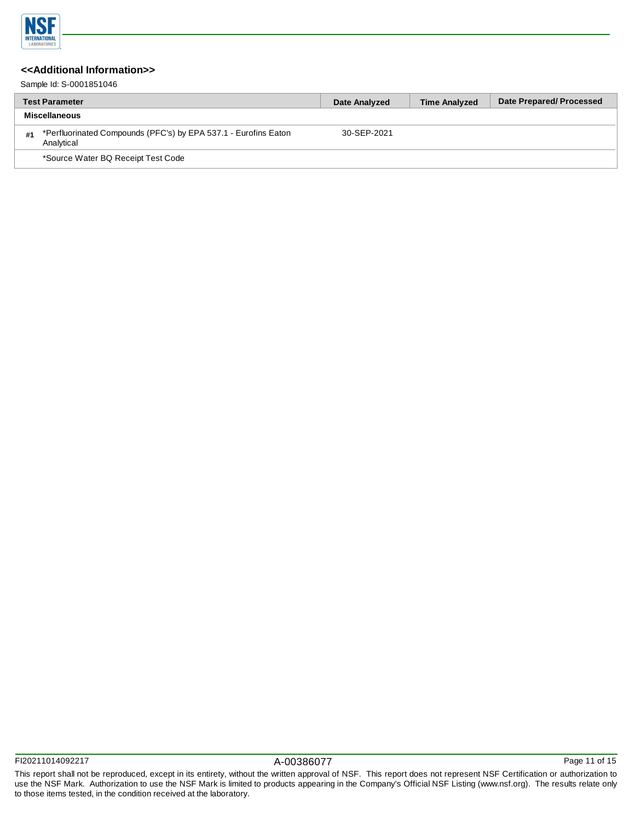

Sample Id: S-0001851046

|    | <b>Test Parameter</b>                                                         | Date Analyzed | <b>Time Analyzed</b> | Date Prepared/Processed |
|----|-------------------------------------------------------------------------------|---------------|----------------------|-------------------------|
|    | <b>Miscellaneous</b>                                                          |               |                      |                         |
| #1 | *Perfluorinated Compounds (PFC's) by EPA 537.1 - Eurofins Eaton<br>Analytical | 30-SEP-2021   |                      |                         |
|    | *Source Water BQ Receipt Test Code                                            |               |                      |                         |

Page 11 of 15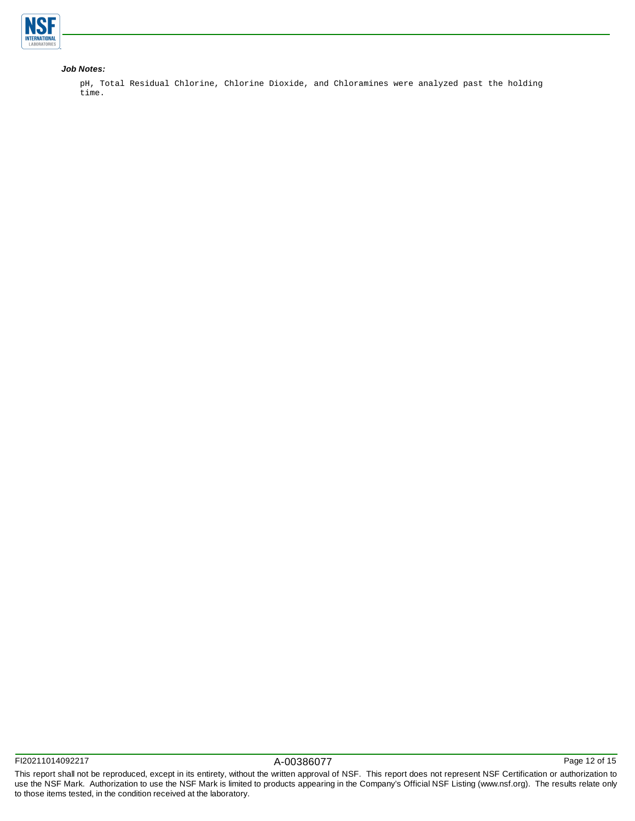

### *Job Notes:*

pH, Total Residual Chlorine, Chlorine Dioxide, and Chloramines were analyzed past the holding time.

Page 12 of 15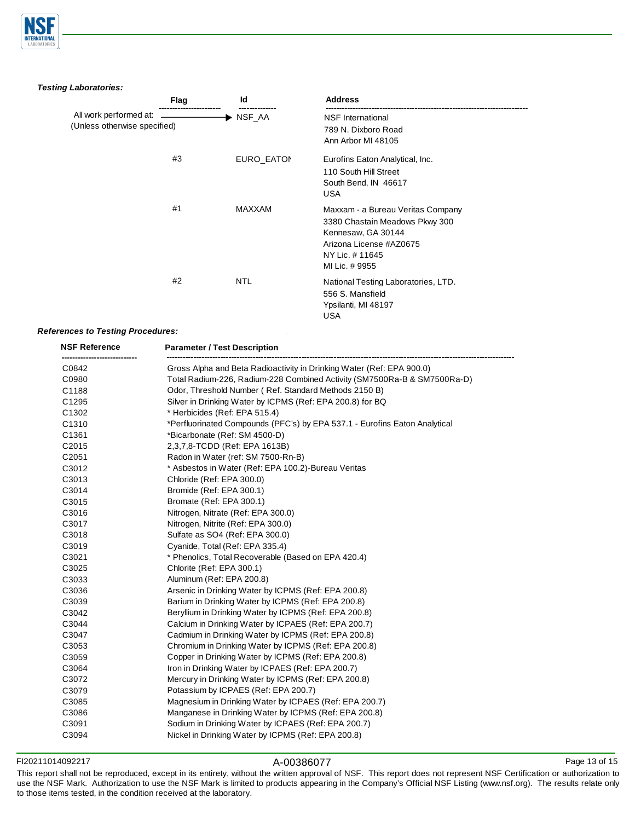

*Testing Laboratories:*

|                                                        | Flag | Id         | <b>Address</b>                                                                                                                                          |  |
|--------------------------------------------------------|------|------------|---------------------------------------------------------------------------------------------------------------------------------------------------------|--|
| All work performed at:<br>(Unless otherwise specified) |      | ▶ NSF_AA   | <b>NSF</b> International<br>789 N. Dixboro Road<br>Ann Arbor MI 48105                                                                                   |  |
|                                                        | #3   | EURO_EATON | Eurofins Eaton Analytical, Inc.<br>110 South Hill Street<br>South Bend, IN 46617<br><b>USA</b>                                                          |  |
|                                                        | #1   | MAXXAM     | Maxxam - a Bureau Veritas Company<br>3380 Chastain Meadows Pkwy 300<br>Kennesaw, GA 30144<br>Arizona License #AZ0675<br>NY Lic. #11645<br>MI Lic. #9955 |  |
|                                                        | #2   | <b>NTL</b> | National Testing Laboratories, LTD.<br>556 S. Mansfield<br>Ypsilanti, MI 48197<br><b>USA</b>                                                            |  |

### *References to Testing Procedures:*

| <b>NSF Reference</b> | <b>Parameter / Test Description</b>                                        |  |  |  |
|----------------------|----------------------------------------------------------------------------|--|--|--|
| C0842                | Gross Alpha and Beta Radioactivity in Drinking Water (Ref: EPA 900.0)      |  |  |  |
| C0980                | Total Radium-226, Radium-228 Combined Activity (SM7500Ra-B & SM7500Ra-D)   |  |  |  |
| C1188                | Odor, Threshold Number (Ref. Standard Methods 2150 B)                      |  |  |  |
| C1295                | Silver in Drinking Water by ICPMS (Ref: EPA 200.8) for BQ                  |  |  |  |
| C1302                | * Herbicides (Ref: EPA 515.4)                                              |  |  |  |
| C1310                | *Perfluorinated Compounds (PFC's) by EPA 537.1 - Eurofins Eaton Analytical |  |  |  |
| C1361                | *Bicarbonate (Ref: SM 4500-D)                                              |  |  |  |
| C2015                | 2,3,7,8-TCDD (Ref: EPA 1613B)                                              |  |  |  |
| C2051                | Radon in Water (ref: SM 7500-Rn-B)                                         |  |  |  |
| C3012                | * Asbestos in Water (Ref: EPA 100.2)-Bureau Veritas                        |  |  |  |
| C3013                | Chloride (Ref: EPA 300.0)                                                  |  |  |  |
| C3014                | Bromide (Ref: EPA 300.1)                                                   |  |  |  |
| C3015                | Bromate (Ref: EPA 300.1)                                                   |  |  |  |
| C3016                | Nitrogen, Nitrate (Ref: EPA 300.0)                                         |  |  |  |
| C3017                | Nitrogen, Nitrite (Ref: EPA 300.0)                                         |  |  |  |
| C3018                | Sulfate as SO4 (Ref: EPA 300.0)                                            |  |  |  |
| C3019                | Cyanide, Total (Ref: EPA 335.4)                                            |  |  |  |
| C3021                | * Phenolics, Total Recoverable (Based on EPA 420.4)                        |  |  |  |
| C3025                | Chlorite (Ref: EPA 300.1)                                                  |  |  |  |
| C3033                | Aluminum (Ref: EPA 200.8)                                                  |  |  |  |
| C3036                | Arsenic in Drinking Water by ICPMS (Ref: EPA 200.8)                        |  |  |  |
| C3039                | Barium in Drinking Water by ICPMS (Ref: EPA 200.8)                         |  |  |  |
| C3042                | Beryllium in Drinking Water by ICPMS (Ref: EPA 200.8)                      |  |  |  |
| C3044                | Calcium in Drinking Water by ICPAES (Ref: EPA 200.7)                       |  |  |  |
| C3047                | Cadmium in Drinking Water by ICPMS (Ref: EPA 200.8)                        |  |  |  |
| C3053                | Chromium in Drinking Water by ICPMS (Ref: EPA 200.8)                       |  |  |  |
| C3059                | Copper in Drinking Water by ICPMS (Ref: EPA 200.8)                         |  |  |  |
| C3064                | Iron in Drinking Water by ICPAES (Ref: EPA 200.7)                          |  |  |  |
| C3072                | Mercury in Drinking Water by ICPMS (Ref: EPA 200.8)                        |  |  |  |
| C3079                | Potassium by ICPAES (Ref: EPA 200.7)                                       |  |  |  |
| C3085                | Magnesium in Drinking Water by ICPAES (Ref: EPA 200.7)                     |  |  |  |
| C3086                | Manganese in Drinking Water by ICPMS (Ref: EPA 200.8)                      |  |  |  |
| C3091                | Sodium in Drinking Water by ICPAES (Ref: EPA 200.7)                        |  |  |  |
| C3094                | Nickel in Drinking Water by ICPMS (Ref: EPA 200.8)                         |  |  |  |

### FI20211014092217 A-00386077

This report shall not be reproduced, except in its entirety, without the written approval of NSF. This report does not represent NSF Certification or authorization to use the NSF Mark. Authorization to use the NSF Mark is limited to products appearing in the Company's Official NSF Listing (www.nsf.org). The results relate only to those items tested, in the condition received at the laboratory.

Page 13 of 15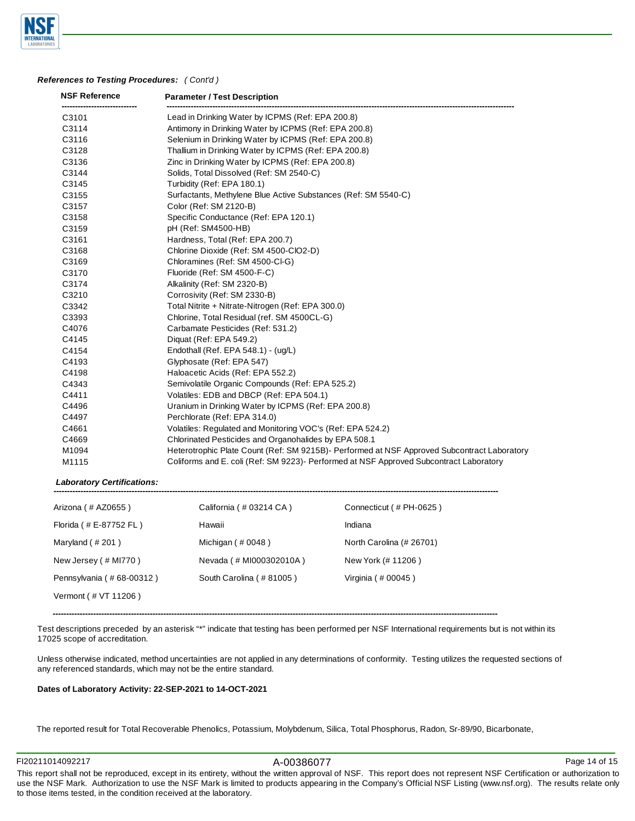

#### *References to Testing Procedures: ( Cont'd )*

| <b>NSF Reference</b> | <b>Parameter / Test Description</b>                                                         |  |  |  |  |
|----------------------|---------------------------------------------------------------------------------------------|--|--|--|--|
| C3101                | Lead in Drinking Water by ICPMS (Ref: EPA 200.8)                                            |  |  |  |  |
| C3114                | Antimony in Drinking Water by ICPMS (Ref: EPA 200.8)                                        |  |  |  |  |
| C3116                | Selenium in Drinking Water by ICPMS (Ref: EPA 200.8)                                        |  |  |  |  |
| C3128                | Thallium in Drinking Water by ICPMS (Ref: EPA 200.8)                                        |  |  |  |  |
| C3136                | Zinc in Drinking Water by ICPMS (Ref: EPA 200.8)                                            |  |  |  |  |
| C3144                | Solids, Total Dissolved (Ref: SM 2540-C)                                                    |  |  |  |  |
| C3145                | Turbidity (Ref: EPA 180.1)                                                                  |  |  |  |  |
| C3155                | Surfactants, Methylene Blue Active Substances (Ref: SM 5540-C)                              |  |  |  |  |
| C3157                | Color (Ref: SM 2120-B)                                                                      |  |  |  |  |
| C3158                | Specific Conductance (Ref: EPA 120.1)                                                       |  |  |  |  |
| C3159                | pH (Ref: SM4500-HB)                                                                         |  |  |  |  |
| C3161                | Hardness, Total (Ref: EPA 200.7)                                                            |  |  |  |  |
| C3168                | Chlorine Dioxide (Ref: SM 4500-CIO2-D)                                                      |  |  |  |  |
| C3169                | Chloramines (Ref: SM 4500-CI-G)                                                             |  |  |  |  |
| C3170                | Fluoride (Ref: SM 4500-F-C)                                                                 |  |  |  |  |
| C3174                | Alkalinity (Ref: SM 2320-B)                                                                 |  |  |  |  |
| C3210                | Corrosivity (Ref: SM 2330-B)                                                                |  |  |  |  |
| C3342                | Total Nitrite + Nitrate-Nitrogen (Ref: EPA 300.0)                                           |  |  |  |  |
| C3393                | Chlorine, Total Residual (ref. SM 4500CL-G)                                                 |  |  |  |  |
| C4076                | Carbamate Pesticides (Ref: 531.2)                                                           |  |  |  |  |
| C4145                | Diquat (Ref: EPA 549.2)                                                                     |  |  |  |  |
| C4154                | Endothall (Ref. EPA 548.1) - (uq/L)                                                         |  |  |  |  |
| C4193                | Glyphosate (Ref: EPA 547)                                                                   |  |  |  |  |
| C4198                | Haloacetic Acids (Ref: EPA 552.2)                                                           |  |  |  |  |
| C4343                | Semivolatile Organic Compounds (Ref: EPA 525.2)                                             |  |  |  |  |
| C4411                | Volatiles: EDB and DBCP (Ref: EPA 504.1)                                                    |  |  |  |  |
| C4496                | Uranium in Drinking Water by ICPMS (Ref: EPA 200.8)                                         |  |  |  |  |
| C4497                | Perchlorate (Ref: EPA 314.0)                                                                |  |  |  |  |
| C4661                | Volatiles: Regulated and Monitoring VOC's (Ref: EPA 524.2)                                  |  |  |  |  |
| C4669                | Chlorinated Pesticides and Organohalides by EPA 508.1                                       |  |  |  |  |
| M1094                | Heterotrophic Plate Count (Ref: SM 9215B)- Performed at NSF Approved Subcontract Laboratory |  |  |  |  |
| M1115                | Coliforms and E. coli (Ref: SM 9223)- Performed at NSF Approved Subcontract Laboratory      |  |  |  |  |

*Laboratory Certifications:* 

| Arizona (# AZ0655)       | California (#03214 CA)  | Connecticut (#PH-0625)   |
|--------------------------|-------------------------|--------------------------|
| Florida (#E-87752 FL)    | Hawaii                  | Indiana                  |
| Maryland $($ # 201)      | Michigan $($ # 0048 $)$ | North Carolina (# 26701) |
| New Jersey (# MI770)     | Nevada (# MI000302010A) | New York (# 11206)       |
| Pennsylvania (#68-00312) | South Carolina (#81005) | Virginia (# 00045)       |
| Vermont (# VT 11206)     |                         |                          |

**---------------------------------------------------------------------------------------------------------------------------------------------------------------------**

Test descriptions preceded by an asterisk "\*" indicate that testing has been performed per NSF International requirements but is not within its 17025 scope of accreditation.

Unless otherwise indicated, method uncertainties are not applied in any determinations of conformity. Testing utilizes the requested sections of any referenced standards, which may not be the entire standard.

#### **Dates of Laboratory Activity: 22-SEP-2021 to 14-OCT-2021**

The reported result for Total Recoverable Phenolics, Potassium, Molybdenum, Silica, Total Phosphorus, Radon, Sr-89/90, Bicarbonate,